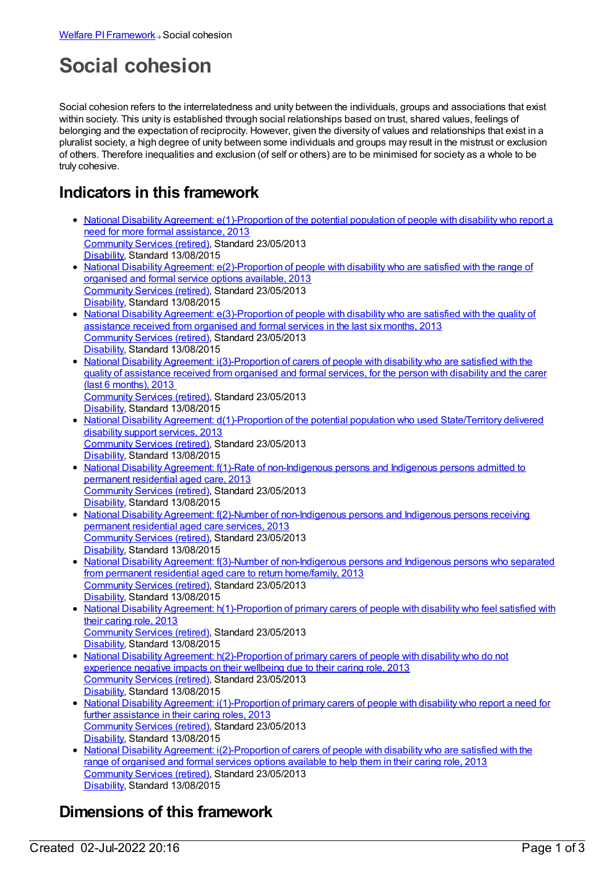# **Social cohesion**

Social cohesion refers to the interrelatedness and unity between the individuals, groups and associations that exist within society. This unity is established through social relationships based on trust, shared values, feelings of belonging and the expectation of reciprocity. However, given the diversity of values and relationships that exist in a pluralist society, a high degree of unity between some individuals and groups may result in the mistrust or exclusion of others. Therefore inequalities and exclusion (of self or others) are to be minimised for society as a whole to be truly cohesive.

# **Indicators in this framework**

- National Disability Agreement: [e\(1\)-Proportion](https://meteor.aihw.gov.au/content/491943) of the potential population of people with disability who report a need for more formal assistance, 2013 [Community](https://meteor.aihw.gov.au/RegistrationAuthority/1) Services (retired), Standard 23/05/2013 [Disability](https://meteor.aihw.gov.au/RegistrationAuthority/16), Standard 13/08/2015
- National Disability Agreement: [e\(2\)-Proportion](https://meteor.aihw.gov.au/content/491945) of people with disability who are satisfied with the range of organised and formal service options available, 2013 [Community](https://meteor.aihw.gov.au/RegistrationAuthority/1) Services (retired), Standard 23/05/2013 [Disability](https://meteor.aihw.gov.au/RegistrationAuthority/16), Standard 13/08/2015
- National Disability Agreement: [e\(3\)-Proportion](https://meteor.aihw.gov.au/content/491947) of people with disability who are satisfied with the quality of assistance received from organised and formal services in the last six months, 2013 [Community](https://meteor.aihw.gov.au/RegistrationAuthority/1) Services (retired), Standard 23/05/2013 [Disability](https://meteor.aihw.gov.au/RegistrationAuthority/16), Standard 13/08/2015
- National Disability Agreement: [i\(3\)-Proportion](https://meteor.aihw.gov.au/content/519120) of carers of people with disability who are satisfied with the quality of assistance received from organised and formal services, for the person with disability and the carer (last 6 months), 2013 [Community](https://meteor.aihw.gov.au/RegistrationAuthority/1) Services (retired), Standard 23/05/2013 [Disability](https://meteor.aihw.gov.au/RegistrationAuthority/16), Standard 13/08/2015
- National Disability Agreement: [d\(1\)-Proportion](https://meteor.aihw.gov.au/content/491941) of the potential population who used State/Territory delivered disability support services, 2013 [Community](https://meteor.aihw.gov.au/RegistrationAuthority/1) Services (retired), Standard 23/05/2013 [Disability](https://meteor.aihw.gov.au/RegistrationAuthority/16), Standard 13/08/2015
- National Disability Agreement: f(1)-Rate of [non-Indigenous](https://meteor.aihw.gov.au/content/491949) persons and Indigenous persons admitted to permanent residential aged care, 2013 [Community](https://meteor.aihw.gov.au/RegistrationAuthority/1) Services (retired), Standard 23/05/2013 [Disability](https://meteor.aihw.gov.au/RegistrationAuthority/16), Standard 13/08/2015
- National Disability Agreement: f(2)-Number of [non-Indigenous](https://meteor.aihw.gov.au/content/491951) persons and Indigenous persons receiving permanent residential aged care services, 2013 [Community](https://meteor.aihw.gov.au/RegistrationAuthority/1) Services (retired), Standard 23/05/2013 [Disability](https://meteor.aihw.gov.au/RegistrationAuthority/16), Standard 13/08/2015
- National Disability Agreement: f(3)-Number of [non-Indigenous](https://meteor.aihw.gov.au/content/518794) persons and Indigenous persons who separated from permanent residential aged care to return home/family, 2013 [Community](https://meteor.aihw.gov.au/RegistrationAuthority/1) Services (retired), Standard 23/05/2013 [Disability](https://meteor.aihw.gov.au/RegistrationAuthority/16), Standard 13/08/2015
- National Disability Agreement: [h\(1\)-Proportion](https://meteor.aihw.gov.au/content/491960) of primary carers of people with disability who feel satisfied with their caring role, 2013
- [Community](https://meteor.aihw.gov.au/RegistrationAuthority/1) Services (retired), Standard 23/05/2013 [Disability](https://meteor.aihw.gov.au/RegistrationAuthority/16), Standard 13/08/2015
- National Disability Agreement: [h\(2\)-Proportion](https://meteor.aihw.gov.au/content/519113) of primary carers of people with disability who do not experience negative impacts on their wellbeing due to their caring role, 2013 [Community](https://meteor.aihw.gov.au/RegistrationAuthority/1) Services (retired), Standard 23/05/2013 [Disability](https://meteor.aihw.gov.au/RegistrationAuthority/16), Standard 13/08/2015
- National Disability Agreement: [i\(1\)-Proportion](https://meteor.aihw.gov.au/content/491962) of primary carers of people with disability who report a need for further assistance in their caring roles, 2013 [Community](https://meteor.aihw.gov.au/RegistrationAuthority/1) Services (retired), Standard 23/05/2013 [Disability](https://meteor.aihw.gov.au/RegistrationAuthority/16), Standard 13/08/2015
- National Disability Agreement: [i\(2\)-Proportion](https://meteor.aihw.gov.au/content/519118) of carers of people with disability who are satisfied with the range of organised and formal services options available to help them in their caring role, 2013 [Community](https://meteor.aihw.gov.au/RegistrationAuthority/1) Services (retired), Standard 23/05/2013 [Disability](https://meteor.aihw.gov.au/RegistrationAuthority/16), Standard 13/08/2015

# **Dimensions of this framework**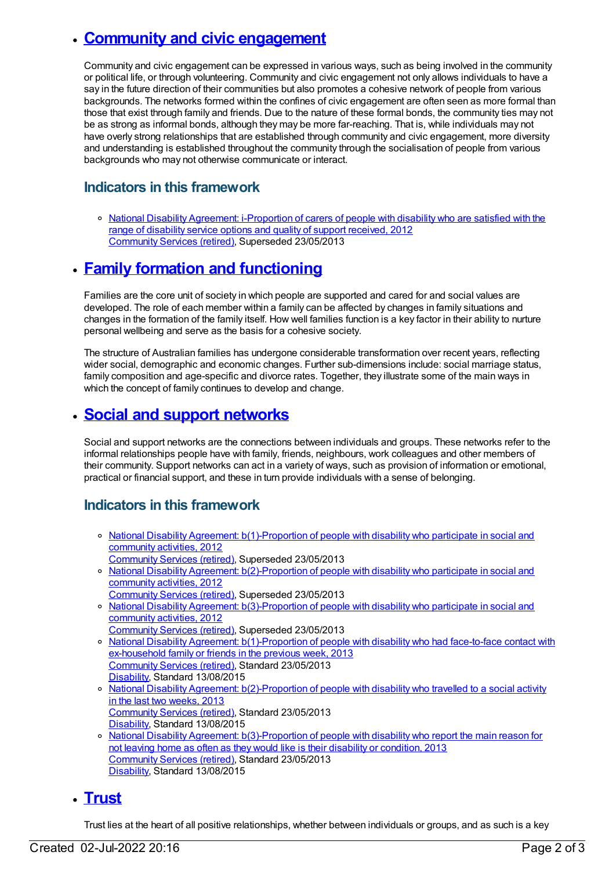# **Community and civic [engagement](https://meteor.aihw.gov.au/content/392697)**

Community and civic engagement can be expressed in various ways, such as being involved in the community or political life, or through volunteering. Community and civic engagement not only allows individuals to have a say in the future direction of their communities but also promotes a cohesive network of people from various backgrounds. The networks formed within the confines of civic engagement are often seen as more formal than those that exist through family and friends. Due to the nature of these formal bonds, the community ties may not be as strong as informal bonds, although they may be more far-reaching. That is, while individuals may not have overly strong relationships that are established through community and civic engagement, more diversity and understanding is established throughout the community through the socialisation of people from various backgrounds who may not otherwise communicate or interact.

#### **Indicators in this framework**

o National Disability Agreement: [i-Proportion](https://meteor.aihw.gov.au/content/467952) of carers of people with disability who are satisfied with the range of disability service options and quality of support received, 2012 [Community](https://meteor.aihw.gov.au/RegistrationAuthority/1) Services (retired), Superseded 23/05/2013

## **Family formation and [functioning](https://meteor.aihw.gov.au/content/392696)**

Families are the core unit of society in which people are supported and cared for and social values are developed. The role of each member within a family can be affected by changes in family situations and changes in the formation of the family itself. How well families function is a key factor in their ability to nurture personal wellbeing and serve as the basis for a cohesive society.

The structure of Australian families has undergone considerable transformation over recent years, reflecting wider social, demographic and economic changes. Further sub-dimensions include: social marriage status, family composition and age-specific and divorce rates. Together, they illustrate some of the main ways in which the concept of family continues to develop and change.

## **Social and support [networks](https://meteor.aihw.gov.au/content/392695)**

Social and support networks are the connections between individuals and groups. These networks refer to the informal relationships people have with family, friends, neighbours, work colleagues and other members of their community. Support networks can act in a variety of ways, such as provision of information or emotional, practical or financial support, and these in turn provide individuals with a sense of belonging.

### **Indicators in this framework**

- <sup>o</sup> National Disability Agreement: [b\(1\)-Proportion](https://meteor.aihw.gov.au/content/467834) of people with disability who participate in social and community activities, 2012
- [Community](https://meteor.aihw.gov.au/RegistrationAuthority/1) Services (retired), Superseded 23/05/2013
- o National Disability Agreement: [b\(2\)-Proportion](https://meteor.aihw.gov.au/content/475220) of people with disability who participate in social and community activities, 2012
- [Community](https://meteor.aihw.gov.au/RegistrationAuthority/1) Services (retired), Superseded 23/05/2013 o National Disability Agreement: [b\(3\)-Proportion](https://meteor.aihw.gov.au/content/475222) of people with disability who participate in social and community activities, 2012
- [Community](https://meteor.aihw.gov.au/RegistrationAuthority/1) Services (retired), Superseded 23/05/2013
- National Disability Agreement: [b\(1\)-Proportion](https://meteor.aihw.gov.au/content/491931) of people with disability who had face-to-face contact with ex-household family or friends in the previous week, 2013 [Community](https://meteor.aihw.gov.au/RegistrationAuthority/1) Services (retired), Standard 23/05/2013 [Disability](https://meteor.aihw.gov.au/RegistrationAuthority/16), Standard 13/08/2015
- o National Disability Agreement: [b\(2\)-Proportion](https://meteor.aihw.gov.au/content/491933) of people with disability who travelled to a social activity in the last two weeks, 2013 [Community](https://meteor.aihw.gov.au/RegistrationAuthority/1) Services (retired), Standard 23/05/2013 [Disability](https://meteor.aihw.gov.au/RegistrationAuthority/16), Standard 13/08/2015
- o National Disability Agreement: [b\(3\)-Proportion](https://meteor.aihw.gov.au/content/491935) of people with disability who report the main reason for not leaving home as often as they would like is their disability or condition, 2013 [Community](https://meteor.aihw.gov.au/RegistrationAuthority/1) Services (retired), Standard 23/05/2013 [Disability](https://meteor.aihw.gov.au/RegistrationAuthority/16), Standard 13/08/2015

## **[Trust](https://meteor.aihw.gov.au/content/392694)**

Trust lies at the heart of all positive relationships, whether between individuals or groups, and as such is a key